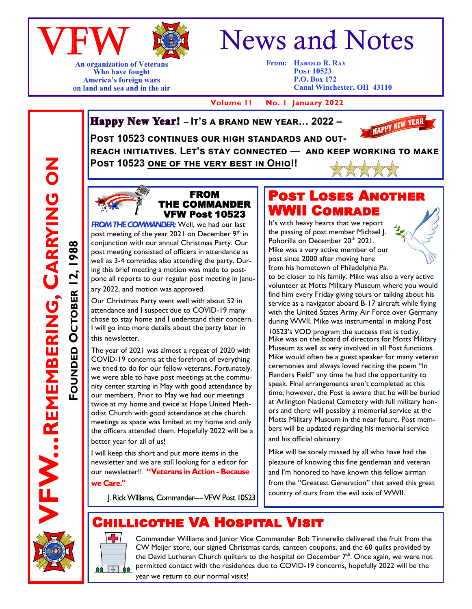



**An organization of Veterans Who have fought America's foreign wars on land and sea and in the air**

# News and Notes

**From: HAROLD R. RAY Post 10523 P.O. Box 172 Canal Winchester, OH 43110**

 **Volume 11 No. 1 January 2022**

**Happy New Year!** - It's a BRAND NEW YEAR... 2022 -



POST 10523 CONTINUES OUR HIGH STANDARDS AND OUT**reach initiatives. Let's stay connected — and keep working to make Post 10523 one of the very best in Ohio!!** 



FROM THE COMMANDER VFW Post 10523

**FROM THE COMMANDER:** Well, we had our last post meeting of the year 2021 on December 9<sup>th</sup> in conjunction with our annual Christmas Party. Our post meeting consisted of officers in attendance as well as 3-4 comrades also attending the party. During this brief meeting a motion was made to postpone all reports to our regular post meeting in January 2022, and motion was approved.

Our Christmas Party went well with about 52 in attendance and I suspect due to COVID-19 many chose to stay home and I understand their concern. I will go into more details about the party later in this newsletter.

The year of 2021 was almost a repeat of 2020 with COVID-19 concerns at the forefront of everything we tried to do for our fellow veterans. Fortunately, we were able to have post meetings at the community center starting in May with good attendance by our members. Prior to May we had our meetings twice at my home and twice at Hope United Methodist Church with good attendance at the church meetings as space was limited at my home and only the officers attended them. Hopefully 2022 will be a better year for all of us!

I will keep this short and put more items in the newsletter and we are still looking for a editor for our newsletter!! "Veterans in Action - Because we Care."

J. Rick Williams, Commander-VFW Post 10523

#### Post Loses Another WWII Comrade

It's with heavy hearts that we report the passing of post member Michael J. Pohorilla on December 20th 2021. Mike was a very active member of our post since 2000 after moving here from his hometown of Philadelphia Pa.



to be closer to his family. Mike was also a very active volunteer at Motts Military Museum where you would find him every Friday giving tours or talking about his service as a navigator aboard B-17 aircraft while flying with the United States Army Air Force over Germany during WWII. Mike was instrumental in making Post

10523's VOD program the success that is today. Mike was on the board of directors for Motts Military Museum as well as very involved in all Post functions. Mike would often be a guest speaker for many veteran ceremonies and always loved reciting the poem "In Flanders Field" any time he had the opportunity to speak. Final arrangements aren't completed at this time; however, the Post is aware that he will be buried at Arlington National Cemetery with full military honors and there will possibly a memorial service at the Motts Military Museum in the near future. Post members will be updated regarding his memorial service and his official obituary.

Mike will be sorely missed by all who have had the pleasure of knowing this fine gentleman and veteran and I'm honored to have known this fellow airman from the "Greatest Generation" that saved this great country of ours from the evil axis of WWII.

# Chillicothe VA Hospital Visit



Commander Williams and Junior Vice Commander Bob Tinnerello delivered the fruit from the CW Meijer store, our signed Christmas cards, canteen coupons, and the 60 quilts provided by the David Lutheran Church quilters to the hospital on December  $7<sup>th</sup>$ . Once again, we were not permitted contact with the residences due to COVID-19 concerns, hopefully 2022 will be the

year we return to our normal visits!